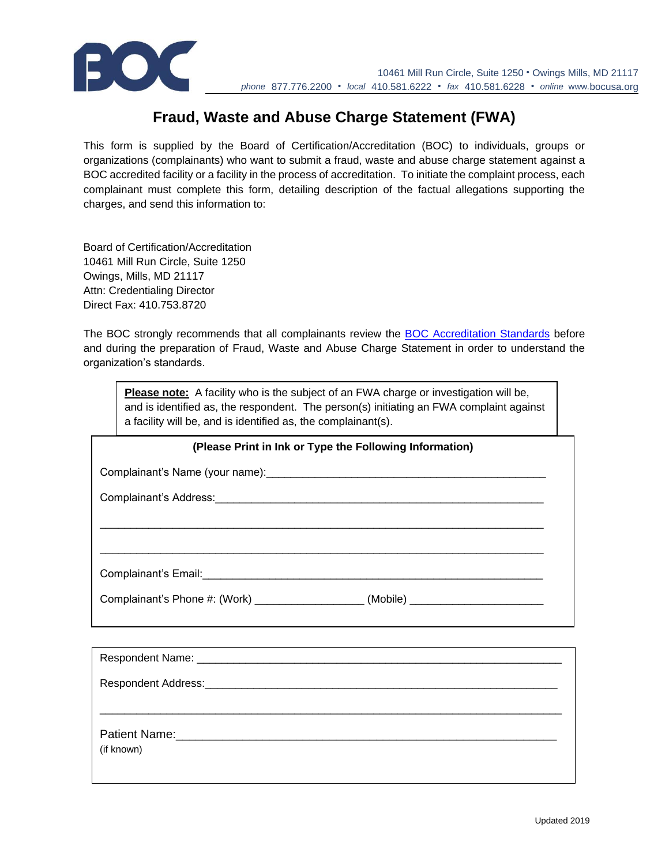

## **Fraud, Waste and Abuse Charge Statement (FWA)**

This form is supplied by the Board of Certification/Accreditation (BOC) to individuals, groups or organizations (complainants) who want to submit a fraud, waste and abuse charge statement against a BOC accredited facility or a facility in the process of accreditation. To initiate the complaint process, each complainant must complete this form, detailing description of the factual allegations supporting the charges, and send this information to:

Board of Certification/Accreditation 10461 Mill Run Circle, Suite 1250 Owings, Mills, MD 21117 Attn: Credentialing Director Direct Fax: 410.753.8720

The BOC strongly recommends that all complainants review the [BOC Accreditation Standards](https://www.bocusa.org/wp-content/uploads/Facility_Accreditation_Standards.pdf) before and during the preparation of Fraud, Waste and Abuse Charge Statement in order to understand the organization's standards.

| <b>Please note:</b> A facility who is the subject of an FWA charge or investigation will be, |
|----------------------------------------------------------------------------------------------|
| and is identified as, the respondent. The person(s) initiating an FWA complaint against      |
| a facility will be, and is identified as, the complainant(s).                                |

| (Please Print in Ink or Type the Following Information)                          |  |
|----------------------------------------------------------------------------------|--|
|                                                                                  |  |
|                                                                                  |  |
|                                                                                  |  |
|                                                                                  |  |
|                                                                                  |  |
| Complainant's Phone #: (Work) _______________________(Mobile) __________________ |  |
|                                                                                  |  |
|                                                                                  |  |
|                                                                                  |  |
|                                                                                  |  |
|                                                                                  |  |
| Patient Name:                                                                    |  |

(if known)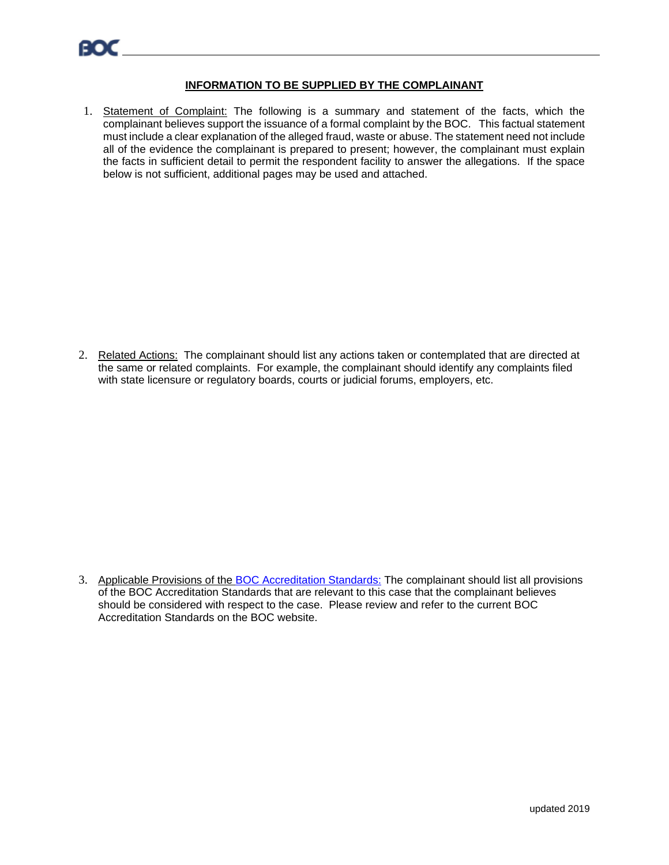## **INFORMATION TO BE SUPPLIED BY THE COMPLAINANT**

1. Statement of Complaint: The following is a summary and statement of the facts, which the complainant believes support the issuance of a formal complaint by the BOC. This factual statement must include a clear explanation of the alleged fraud, waste or abuse. The statement need not include all of the evidence the complainant is prepared to present; however, the complainant must explain the facts in sufficient detail to permit the respondent facility to answer the allegations. If the space below is not sufficient, additional pages may be used and attached.

2. Related Actions: The complainant should list any actions taken or contemplated that are directed at the same or related complaints. For example, the complainant should identify any complaints filed with state licensure or regulatory boards, courts or judicial forums, employers, etc.

3. Applicable Provisions of the [BOC Accreditation Standards:](https://www.bocusa.org/wp-content/uploads/Facility_Accreditation_Standards.pdf) The complainant should list all provisions of the BOC Accreditation Standards that are relevant to this case that the complainant believes should be considered with respect to the case. Please review and refer to the current BOC Accreditation Standards on the BOC website.